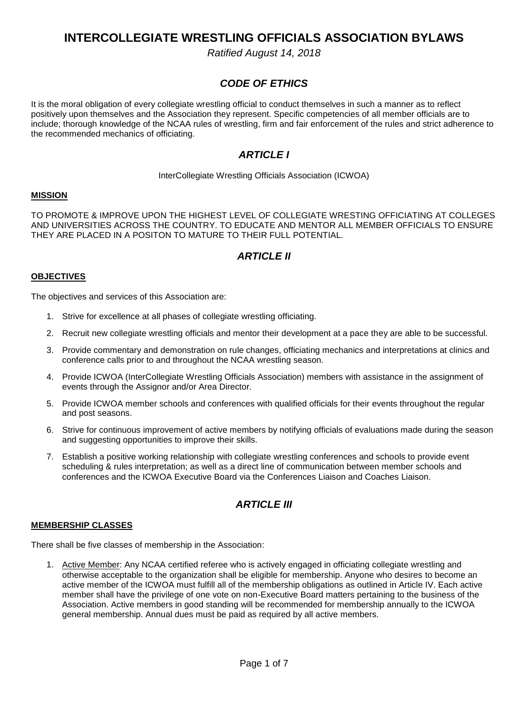*Ratified August 14, 2018*

## *CODE OF ETHICS*

It is the moral obligation of every collegiate wrestling official to conduct themselves in such a manner as to reflect positively upon themselves and the Association they represent. Specific competencies of all member officials are to include; thorough knowledge of the NCAA rules of wrestling, firm and fair enforcement of the rules and strict adherence to the recommended mechanics of officiating.

### *ARTICLE I*

#### InterCollegiate Wrestling Officials Association (ICWOA)

#### **MISSION**

TO PROMOTE & IMPROVE UPON THE HIGHEST LEVEL OF COLLEGIATE WRESTING OFFICIATING AT COLLEGES AND UNIVERSITIES ACROSS THE COUNTRY. TO EDUCATE AND MENTOR ALL MEMBER OFFICIALS TO ENSURE THEY ARE PLACED IN A POSITON TO MATURE TO THEIR FULL POTENTIAL.

### *ARTICLE II*

#### **OBJECTIVES**

The objectives and services of this Association are:

- 1. Strive for excellence at all phases of collegiate wrestling officiating.
- 2. Recruit new collegiate wrestling officials and mentor their development at a pace they are able to be successful.
- 3. Provide commentary and demonstration on rule changes, officiating mechanics and interpretations at clinics and conference calls prior to and throughout the NCAA wrestling season.
- 4. Provide ICWOA (InterCollegiate Wrestling Officials Association) members with assistance in the assignment of events through the Assignor and/or Area Director.
- 5. Provide ICWOA member schools and conferences with qualified officials for their events throughout the regular and post seasons.
- 6. Strive for continuous improvement of active members by notifying officials of evaluations made during the season and suggesting opportunities to improve their skills.
- 7. Establish a positive working relationship with collegiate wrestling conferences and schools to provide event scheduling & rules interpretation; as well as a direct line of communication between member schools and conferences and the ICWOA Executive Board via the Conferences Liaison and Coaches Liaison.

## *ARTICLE III*

#### **MEMBERSHIP CLASSES**

There shall be five classes of membership in the Association:

1. Active Member: Any NCAA certified referee who is actively engaged in officiating collegiate wrestling and otherwise acceptable to the organization shall be eligible for membership. Anyone who desires to become an active member of the ICWOA must fulfill all of the membership obligations as outlined in Article IV. Each active member shall have the privilege of one vote on non-Executive Board matters pertaining to the business of the Association. Active members in good standing will be recommended for membership annually to the ICWOA general membership. Annual dues must be paid as required by all active members.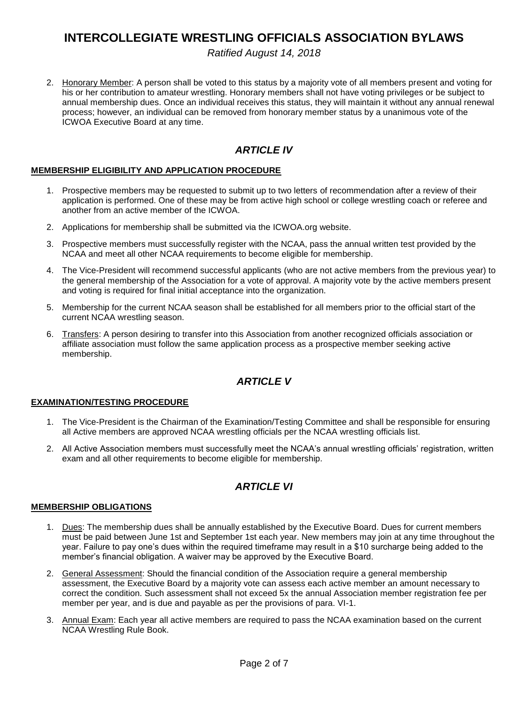*Ratified August 14, 2018*

2. Honorary Member: A person shall be voted to this status by a majority vote of all members present and voting for his or her contribution to amateur wrestling. Honorary members shall not have voting privileges or be subject to annual membership dues. Once an individual receives this status, they will maintain it without any annual renewal process; however, an individual can be removed from honorary member status by a unanimous vote of the ICWOA Executive Board at any time.

## *ARTICLE IV*

#### **MEMBERSHIP ELIGIBILITY AND APPLICATION PROCEDURE**

- 1. Prospective members may be requested to submit up to two letters of recommendation after a review of their application is performed. One of these may be from active high school or college wrestling coach or referee and another from an active member of the ICWOA.
- 2. Applications for membership shall be submitted via the ICWOA.org website.
- 3. Prospective members must successfully register with the NCAA, pass the annual written test provided by the NCAA and meet all other NCAA requirements to become eligible for membership.
- 4. The Vice-President will recommend successful applicants (who are not active members from the previous year) to the general membership of the Association for a vote of approval. A majority vote by the active members present and voting is required for final initial acceptance into the organization.
- 5. Membership for the current NCAA season shall be established for all members prior to the official start of the current NCAA wrestling season.
- 6. Transfers: A person desiring to transfer into this Association from another recognized officials association or affiliate association must follow the same application process as a prospective member seeking active membership.

## *ARTICLE V*

#### **EXAMINATION/TESTING PROCEDURE**

- 1. The Vice-President is the Chairman of the Examination/Testing Committee and shall be responsible for ensuring all Active members are approved NCAA wrestling officials per the NCAA wrestling officials list.
- 2. All Active Association members must successfully meet the NCAA's annual wrestling officials' registration, written exam and all other requirements to become eligible for membership.

## *ARTICLE VI*

#### **MEMBERSHIP OBLIGATIONS**

- 1. Dues: The membership dues shall be annually established by the Executive Board. Dues for current members must be paid between June 1st and September 1st each year. New members may join at any time throughout the year. Failure to pay one's dues within the required timeframe may result in a \$10 surcharge being added to the member's financial obligation. A waiver may be approved by the Executive Board.
- 2. General Assessment: Should the financial condition of the Association require a general membership assessment, the Executive Board by a majority vote can assess each active member an amount necessary to correct the condition. Such assessment shall not exceed 5x the annual Association member registration fee per member per year, and is due and payable as per the provisions of para. VI-1.
- 3. Annual Exam: Each year all active members are required to pass the NCAA examination based on the current NCAA Wrestling Rule Book.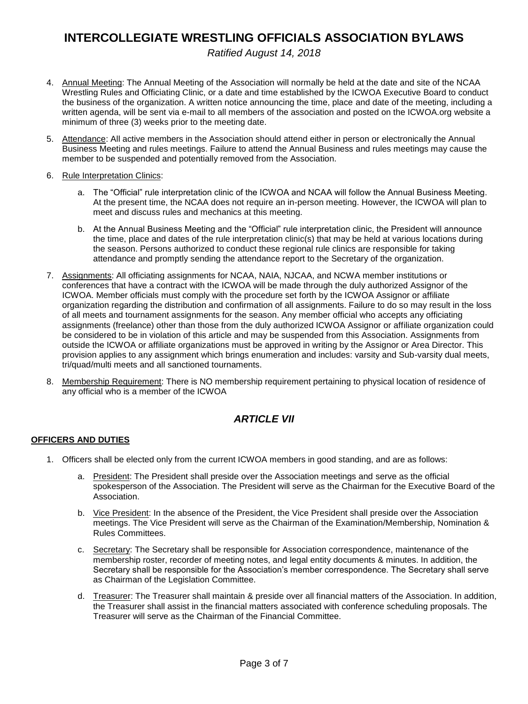*Ratified August 14, 2018*

- 4. Annual Meeting: The Annual Meeting of the Association will normally be held at the date and site of the NCAA Wrestling Rules and Officiating Clinic, or a date and time established by the ICWOA Executive Board to conduct the business of the organization. A written notice announcing the time, place and date of the meeting, including a written agenda, will be sent via e-mail to all members of the association and posted on the ICWOA.org website a minimum of three (3) weeks prior to the meeting date.
- 5. Attendance: All active members in the Association should attend either in person or electronically the Annual Business Meeting and rules meetings. Failure to attend the Annual Business and rules meetings may cause the member to be suspended and potentially removed from the Association.
- 6. Rule Interpretation Clinics:
	- a. The "Official" rule interpretation clinic of the ICWOA and NCAA will follow the Annual Business Meeting. At the present time, the NCAA does not require an in-person meeting. However, the ICWOA will plan to meet and discuss rules and mechanics at this meeting.
	- b. At the Annual Business Meeting and the "Official" rule interpretation clinic, the President will announce the time, place and dates of the rule interpretation clinic(s) that may be held at various locations during the season. Persons authorized to conduct these regional rule clinics are responsible for taking attendance and promptly sending the attendance report to the Secretary of the organization.
- 7. Assignments: All officiating assignments for NCAA, NAIA, NJCAA, and NCWA member institutions or conferences that have a contract with the ICWOA will be made through the duly authorized Assignor of the ICWOA. Member officials must comply with the procedure set forth by the ICWOA Assignor or affiliate organization regarding the distribution and confirmation of all assignments. Failure to do so may result in the loss of all meets and tournament assignments for the season. Any member official who accepts any officiating assignments (freelance) other than those from the duly authorized ICWOA Assignor or affiliate organization could be considered to be in violation of this article and may be suspended from this Association. Assignments from outside the ICWOA or affiliate organizations must be approved in writing by the Assignor or Area Director. This provision applies to any assignment which brings enumeration and includes: varsity and Sub-varsity dual meets, tri/quad/multi meets and all sanctioned tournaments.
- 8. Membership Requirement: There is NO membership requirement pertaining to physical location of residence of any official who is a member of the ICWOA

## *ARTICLE VII*

#### **OFFICERS AND DUTIES**

- 1. Officers shall be elected only from the current ICWOA members in good standing, and are as follows:
	- a. President: The President shall preside over the Association meetings and serve as the official spokesperson of the Association. The President will serve as the Chairman for the Executive Board of the **Association**
	- b. Vice President: In the absence of the President, the Vice President shall preside over the Association meetings. The Vice President will serve as the Chairman of the Examination/Membership, Nomination & Rules Committees.
	- c. Secretary: The Secretary shall be responsible for Association correspondence, maintenance of the membership roster, recorder of meeting notes, and legal entity documents & minutes. In addition, the Secretary shall be responsible for the Association's member correspondence. The Secretary shall serve as Chairman of the Legislation Committee.
	- d. Treasurer: The Treasurer shall maintain & preside over all financial matters of the Association. In addition, the Treasurer shall assist in the financial matters associated with conference scheduling proposals. The Treasurer will serve as the Chairman of the Financial Committee.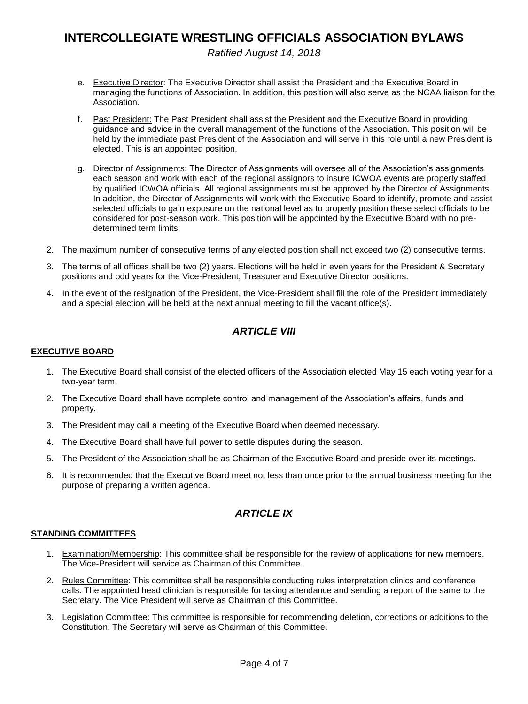*Ratified August 14, 2018*

- e. Executive Director: The Executive Director shall assist the President and the Executive Board in managing the functions of Association. In addition, this position will also serve as the NCAA liaison for the Association.
- f. Past President: The Past President shall assist the President and the Executive Board in providing guidance and advice in the overall management of the functions of the Association. This position will be held by the immediate past President of the Association and will serve in this role until a new President is elected. This is an appointed position.
- g. Director of Assignments: The Director of Assignments will oversee all of the Association's assignments each season and work with each of the regional assignors to insure ICWOA events are properly staffed by qualified ICWOA officials. All regional assignments must be approved by the Director of Assignments. In addition, the Director of Assignments will work with the Executive Board to identify, promote and assist selected officials to gain exposure on the national level as to properly position these select officials to be considered for post-season work. This position will be appointed by the Executive Board with no predetermined term limits.
- 2. The maximum number of consecutive terms of any elected position shall not exceed two (2) consecutive terms.
- 3. The terms of all offices shall be two (2) years. Elections will be held in even years for the President & Secretary positions and odd years for the Vice-President, Treasurer and Executive Director positions.
- 4. In the event of the resignation of the President, the Vice-President shall fill the role of the President immediately and a special election will be held at the next annual meeting to fill the vacant office(s).

## *ARTICLE VIII*

#### **EXECUTIVE BOARD**

- 1. The Executive Board shall consist of the elected officers of the Association elected May 15 each voting year for a two-year term.
- 2. The Executive Board shall have complete control and management of the Association's affairs, funds and property.
- 3. The President may call a meeting of the Executive Board when deemed necessary.
- 4. The Executive Board shall have full power to settle disputes during the season.
- 5. The President of the Association shall be as Chairman of the Executive Board and preside over its meetings.
- 6. It is recommended that the Executive Board meet not less than once prior to the annual business meeting for the purpose of preparing a written agenda.

## *ARTICLE IX*

#### **STANDING COMMITTEES**

- 1. Examination/Membership: This committee shall be responsible for the review of applications for new members. The Vice-President will service as Chairman of this Committee.
- 2. Rules Committee: This committee shall be responsible conducting rules interpretation clinics and conference calls. The appointed head clinician is responsible for taking attendance and sending a report of the same to the Secretary. The Vice President will serve as Chairman of this Committee.
- 3. Legislation Committee: This committee is responsible for recommending deletion, corrections or additions to the Constitution. The Secretary will serve as Chairman of this Committee.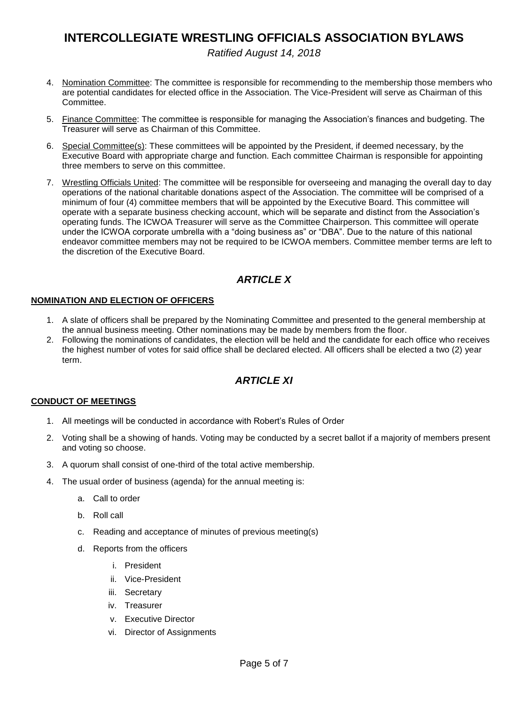*Ratified August 14, 2018*

- 4. Nomination Committee: The committee is responsible for recommending to the membership those members who are potential candidates for elected office in the Association. The Vice-President will serve as Chairman of this Committee.
- 5. Finance Committee: The committee is responsible for managing the Association's finances and budgeting. The Treasurer will serve as Chairman of this Committee.
- 6. Special Committee(s): These committees will be appointed by the President, if deemed necessary, by the Executive Board with appropriate charge and function. Each committee Chairman is responsible for appointing three members to serve on this committee.
- 7. Wrestling Officials United: The committee will be responsible for overseeing and managing the overall day to day operations of the national charitable donations aspect of the Association. The committee will be comprised of a minimum of four (4) committee members that will be appointed by the Executive Board. This committee will operate with a separate business checking account, which will be separate and distinct from the Association's operating funds. The ICWOA Treasurer will serve as the Committee Chairperson. This committee will operate under the ICWOA corporate umbrella with a "doing business as" or "DBA". Due to the nature of this national endeavor committee members may not be required to be ICWOA members. Committee member terms are left to the discretion of the Executive Board.

## **ARTICLE X**

#### **NOMINATION AND ELECTION OF OFFICERS**

- 1. A slate of officers shall be prepared by the Nominating Committee and presented to the general membership at the annual business meeting. Other nominations may be made by members from the floor.
- 2. Following the nominations of candidates, the election will be held and the candidate for each office who receives the highest number of votes for said office shall be declared elected. All officers shall be elected a two (2) year term.

## *ARTICLE XI*

### **CONDUCT OF MEETINGS**

- 1. All meetings will be conducted in accordance with Robert's Rules of Order
- 2. Voting shall be a showing of hands. Voting may be conducted by a secret ballot if a majority of members present and voting so choose.
- 3. A quorum shall consist of one-third of the total active membership.
- 4. The usual order of business (agenda) for the annual meeting is:
	- a. Call to order
	- b. Roll call
	- c. Reading and acceptance of minutes of previous meeting(s)
	- d. Reports from the officers
		- i. President
		- ii. Vice-President
		- iii. Secretary
		- iv. Treasurer
		- v. Executive Director
		- vi. Director of Assignments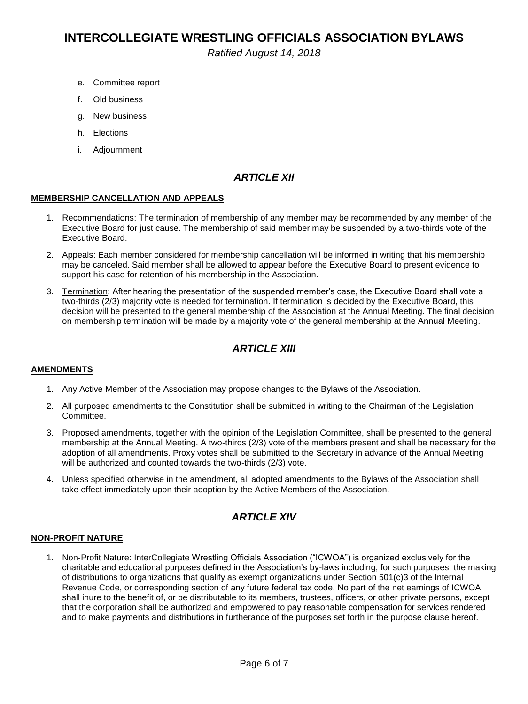*Ratified August 14, 2018*

- e. Committee report
- f. Old business
- g. New business
- h. Elections
- i. Adjournment

### *ARTICLE XII*

#### **MEMBERSHIP CANCELLATION AND APPEALS**

- 1. Recommendations: The termination of membership of any member may be recommended by any member of the Executive Board for just cause. The membership of said member may be suspended by a two-thirds vote of the Executive Board.
- 2. Appeals: Each member considered for membership cancellation will be informed in writing that his membership may be canceled. Said member shall be allowed to appear before the Executive Board to present evidence to support his case for retention of his membership in the Association.
- 3. Termination: After hearing the presentation of the suspended member's case, the Executive Board shall vote a two-thirds (2/3) majority vote is needed for termination. If termination is decided by the Executive Board, this decision will be presented to the general membership of the Association at the Annual Meeting. The final decision on membership termination will be made by a majority vote of the general membership at the Annual Meeting.

## *ARTICLE XIII*

#### **AMENDMENTS**

- 1. Any Active Member of the Association may propose changes to the Bylaws of the Association.
- 2. All purposed amendments to the Constitution shall be submitted in writing to the Chairman of the Legislation Committee.
- 3. Proposed amendments, together with the opinion of the Legislation Committee, shall be presented to the general membership at the Annual Meeting. A two-thirds (2/3) vote of the members present and shall be necessary for the adoption of all amendments. Proxy votes shall be submitted to the Secretary in advance of the Annual Meeting will be authorized and counted towards the two-thirds (2/3) vote.
- 4. Unless specified otherwise in the amendment, all adopted amendments to the Bylaws of the Association shall take effect immediately upon their adoption by the Active Members of the Association.

## **ARTICLE XIV**

#### **NON-PROFIT NATURE**

1. Non-Profit Nature: InterCollegiate Wrestling Officials Association ("ICWOA") is organized exclusively for the charitable and educational purposes defined in the Association's by-laws including, for such purposes, the making of distributions to organizations that qualify as exempt organizations under Section 501(c)3 of the Internal Revenue Code, or corresponding section of any future federal tax code. No part of the net earnings of ICWOA shall inure to the benefit of, or be distributable to its members, trustees, officers, or other private persons, except that the corporation shall be authorized and empowered to pay reasonable compensation for services rendered and to make payments and distributions in furtherance of the purposes set forth in the purpose clause hereof.